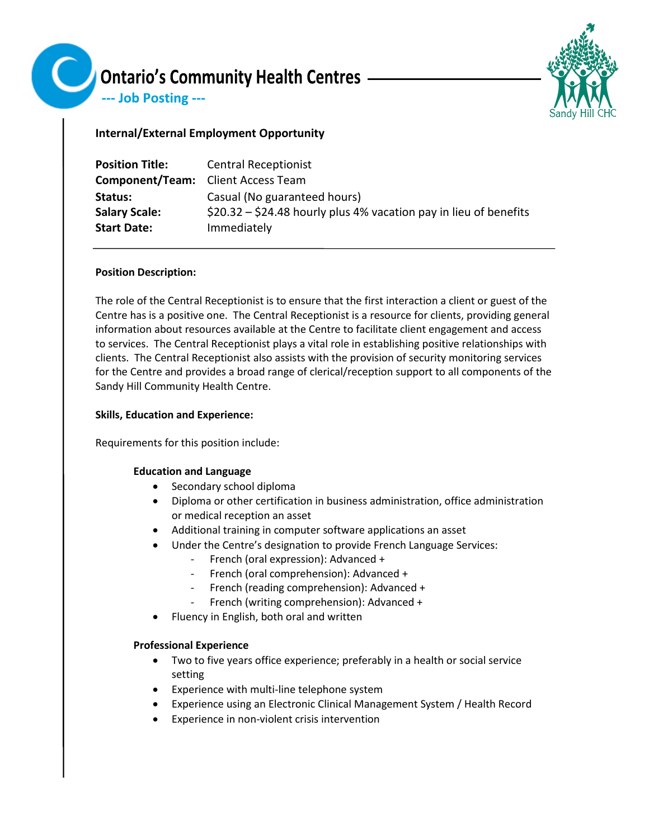

--- Job Posting ---



# **Internal/External Employment Opportunity**

| <b>Position Title:</b>                    | <b>Central Receptionist</b>                                       |
|-------------------------------------------|-------------------------------------------------------------------|
| <b>Component/Team:</b> Client Access Team |                                                                   |
| Status:                                   | Casual (No guaranteed hours)                                      |
| <b>Salary Scale:</b>                      | $$20.32 - $24.48$ hourly plus 4% vacation pay in lieu of benefits |
| <b>Start Date:</b>                        | Immediately                                                       |

### **Position Description:**

The role of the Central Receptionist is to ensure that the first interaction a client or guest of the Centre has is a positive one. The Central Receptionist is a resource for clients, providing general information about resources available at the Centre to facilitate client engagement and access to services. The Central Receptionist plays a vital role in establishing positive relationships with clients. The Central Receptionist also assists with the provision of security monitoring services for the Centre and provides a broad range of clerical/reception support to all components of the Sandy Hill Community Health Centre.

## **Skills, Education and Experience:**

Requirements for this position include:

### **Education and Language**

- Secondary school diploma
- Diploma or other certification in business administration, office administration or medical reception an asset
- Additional training in computer software applications an asset
- Under the Centre's designation to provide French Language Services:
	- French (oral expression): Advanced +
	- French (oral comprehension): Advanced +
	- French (reading comprehension): Advanced +
	- French (writing comprehension): Advanced +
- Fluency in English, both oral and written

# **Professional Experience**

- Two to five years office experience; preferably in a health or social service setting
- Experience with multi-line telephone system
- Experience using an Electronic Clinical Management System / Health Record
- Experience in non-violent crisis intervention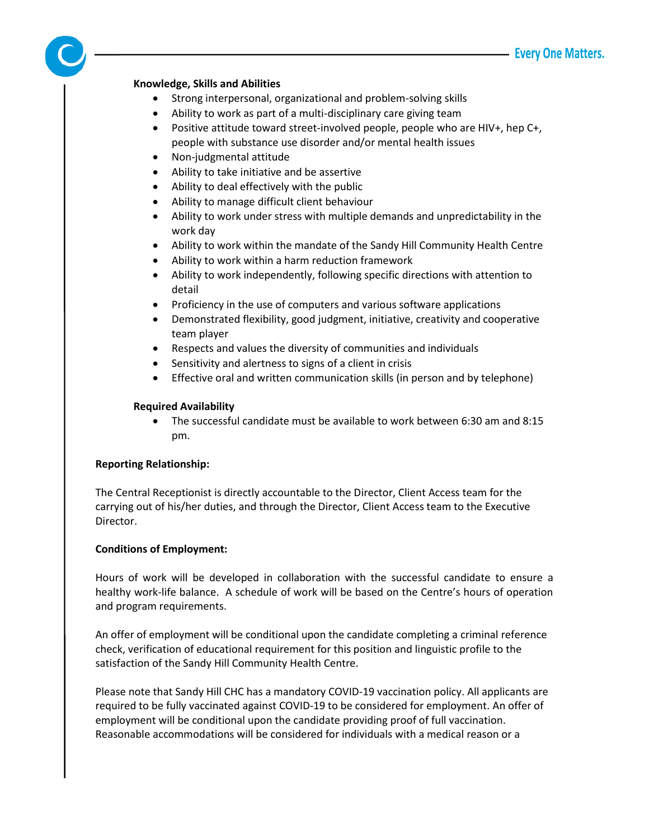### **Knowledge, Skills and Abilities**

- Strong interpersonal, organizational and problem-solving skills
- Ability to work as part of a multi-disciplinary care giving team
- Positive attitude toward street-involved people, people who are HIV+, hep C+, people with substance use disorder and/or mental health issues
- Non-judgmental attitude
- Ability to take initiative and be assertive
- Ability to deal effectively with the public
- Ability to manage difficult client behaviour
- Ability to work under stress with multiple demands and unpredictability in the work day
- Ability to work within the mandate of the Sandy Hill Community Health Centre
- Ability to work within a harm reduction framework
- Ability to work independently, following specific directions with attention to detail
- Proficiency in the use of computers and various software applications
- Demonstrated flexibility, good judgment, initiative, creativity and cooperative team player
- Respects and values the diversity of communities and individuals
- Sensitivity and alertness to signs of a client in crisis
- Effective oral and written communication skills (in person and by telephone)

### **Required Availability**

• The successful candidate must be available to work between 6:30 am and 8:15 pm.

### **Reporting Relationship:**

The Central Receptionist is directly accountable to the Director, Client Access team for the carrying out of his/her duties, and through the Director, Client Access team to the Executive Director.

### **Conditions of Employment:**

Hours of work will be developed in collaboration with the successful candidate to ensure a healthy work-life balance. A schedule of work will be based on the Centre's hours of operation and program requirements.

An offer of employment will be conditional upon the candidate completing a criminal reference check, verification of educational requirement for this position and linguistic profile to the satisfaction of the Sandy Hill Community Health Centre.

Please note that Sandy Hill CHC has a mandatory COVID-19 vaccination policy. All applicants are required to be fully vaccinated against COVID-19 to be considered for employment. An offer of employment will be conditional upon the candidate providing proof of full vaccination. Reasonable accommodations will be considered for individuals with a medical reason or a